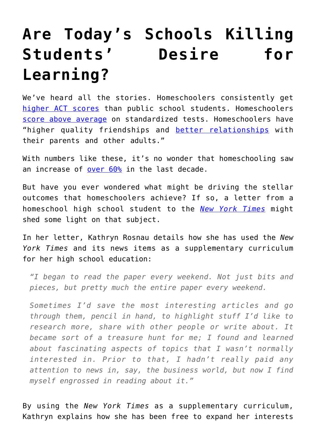## **[Are Today's Schools Killing](https://intellectualtakeout.org/2016/04/are-todays-schools-killing-students-desire-for-learning/) [Students' Desire for](https://intellectualtakeout.org/2016/04/are-todays-schools-killing-students-desire-for-learning/) [Learning?](https://intellectualtakeout.org/2016/04/are-todays-schools-killing-students-desire-for-learning/)**

We've heard all the stories. Homeschoolers consistently get [higher ACT scores](https://www.intellectualtakeout.org/blog/does-homeschooling-give-children-more-room-excel) than public school students. Homeschoolers [score above average](https://www.home-school.com/news/homeschool-vs-public-school.php) on standardized tests. Homeschoolers have "higher quality friendships and [better relationships](https://www.intellectualtakeout.org/blog/homeschooling-socialization-and-new-groupthink) with their parents and other adults."

With numbers like these, it's no wonder that homeschooling saw an increase of [over 60%](https://www.intellectualtakeout.org/blog/homeschooling-rise-both-us-and-elsewhere) in the last decade.

But have you ever wondered what might be driving the stellar outcomes that homeschoolers achieve? If so, a letter from a homeschool high school student to the *[New York Times](http://learning.blogs.nytimes.com/2016/04/20/reader-idea-a-home-schooled-teenager-on-learning-with-the-times/)* might shed some light on that subject.

In her letter, Kathryn Rosnau details how she has used the *New York Times* and its news items as a supplementary curriculum for her high school education:

*"I began to read the paper every weekend. Not just bits and pieces, but pretty much the entire paper every weekend.*

*Sometimes I'd save the most interesting articles and go through them, pencil in hand, to highlight stuff I'd like to research more, share with other people or write about. It became sort of a treasure hunt for me; I found and learned about fascinating aspects of topics that I wasn't normally interested in. Prior to that, I hadn't really paid any attention to news in, say, the business world, but now I find myself engrossed in reading about it."*

By using the *New York Times* as a supplementary curriculum, Kathryn explains how she has been free to expand her interests